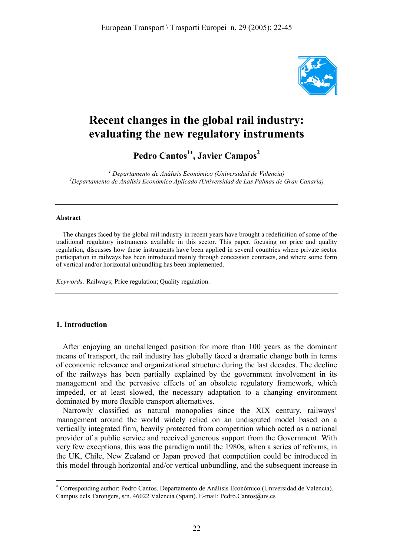

# **Recent changes in the global rail industry: evaluating the new regulatory instruments**

**Pedro Cantos<sup>1</sup>**<sup>∗</sup> **, Javier Campos<sup>2</sup>**

*1 Departamento de Análisis Económico (Universidad de Valencia) 2 Departamento de Análisis Económico Aplicado (Universidad de Las Palmas de Gran Canaria)* 

#### **Abstract**

The changes faced by the global rail industry in recent years have brought a redefinition of some of the traditional regulatory instruments available in this sector. This paper, focusing on price and quality regulation, discusses how these instruments have been applied in several countries where private sector participation in railways has been introduced mainly through concession contracts, and where some form of vertical and/or horizontal unbundling has been implemented.

*Keywords:* Railways; Price regulation; Quality regulation.

#### **1. Introduction**

 $\overline{a}$ 

After enjoying an unchallenged position for more than 100 years as the dominant means of transport, the rail industry has globally faced a dramatic change both in terms of economic relevance and organizational structure during the last decades. The decline of the railways has been partially explained by the government involvement in its management and the pervasive effects of an obsolete regulatory framework, which impeded, or at least slowed, the necessary adaptation to a changing environment dominated by more flexible transport alternatives.

Narrowly classified as natural monopolies since the XIX century, railways' management around the world widely relied on an undisputed model based on a vertically integrated firm, heavily protected from competition which acted as a national provider of a public service and received generous support from the Government. With very few exceptions, this was the paradigm until the 1980s, when a series of reforms, in the UK, Chile, New Zealand or Japan proved that competition could be introduced in this model through horizontal and/or vertical unbundling, and the subsequent increase in

<sup>∗</sup> Corresponding author: Pedro Cantos. Departamento de Análisis Económico (Universidad de Valencia). Campus dels Tarongers, s/n. 46022 Valencia (Spain). E-mail: Pedro.Cantos@uv.es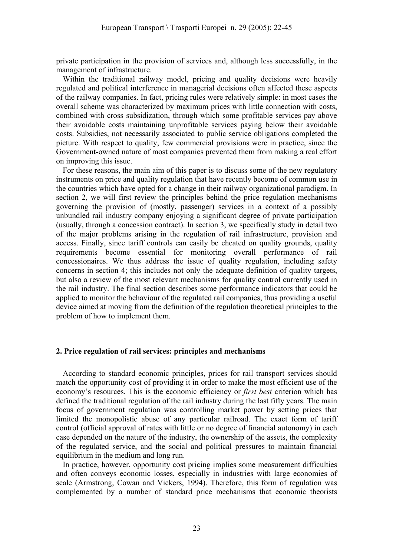private participation in the provision of services and, although less successfully, in the management of infrastructure.

Within the traditional railway model, pricing and quality decisions were heavily regulated and political interference in managerial decisions often affected these aspects of the railway companies. In fact, pricing rules were relatively simple: in most cases the overall scheme was characterized by maximum prices with little connection with costs, combined with cross subsidization, through which some profitable services pay above their avoidable costs maintaining unprofitable services paying below their avoidable costs. Subsidies, not necessarily associated to public service obligations completed the picture. With respect to quality, few commercial provisions were in practice, since the Government-owned nature of most companies prevented them from making a real effort on improving this issue.

For these reasons, the main aim of this paper is to discuss some of the new regulatory instruments on price and quality regulation that have recently become of common use in the countries which have opted for a change in their railway organizational paradigm. In section 2, we will first review the principles behind the price regulation mechanisms governing the provision of (mostly, passenger) services in a context of a possibly unbundled rail industry company enjoying a significant degree of private participation (usually, through a concession contract). In section 3, we specifically study in detail two of the major problems arising in the regulation of rail infrastructure, provision and access. Finally, since tariff controls can easily be cheated on quality grounds, quality requirements become essential for monitoring overall performance of rail concessionaires. We thus address the issue of quality regulation, including safety concerns in section 4; this includes not only the adequate definition of quality targets, but also a review of the most relevant mechanisms for quality control currently used in the rail industry. The final section describes some performance indicators that could be applied to monitor the behaviour of the regulated rail companies, thus providing a useful device aimed at moving from the definition of the regulation theoretical principles to the problem of how to implement them.

## **2. Price regulation of rail services: principles and mechanisms**

According to standard economic principles, prices for rail transport services should match the opportunity cost of providing it in order to make the most efficient use of the economy's resources. This is the economic efficiency or *first best* criterion which has defined the traditional regulation of the rail industry during the last fifty years. The main focus of government regulation was controlling market power by setting prices that limited the monopolistic abuse of any particular railroad. The exact form of tariff control (official approval of rates with little or no degree of financial autonomy) in each case depended on the nature of the industry, the ownership of the assets, the complexity of the regulated service, and the social and political pressures to maintain financial equilibrium in the medium and long run.

In practice, however, opportunity cost pricing implies some measurement difficulties and often conveys economic losses, especially in industries with large economies of scale (Armstrong, Cowan and Vickers, 1994). Therefore, this form of regulation was complemented by a number of standard price mechanisms that economic theorists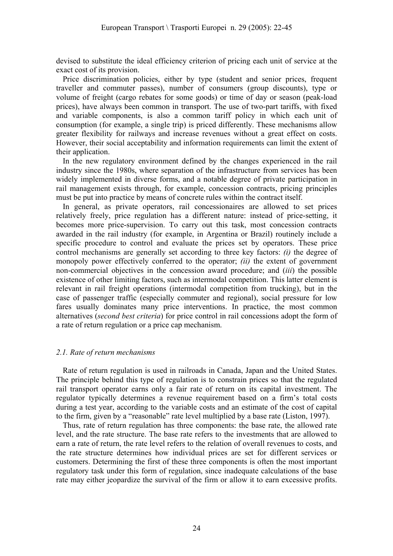devised to substitute the ideal efficiency criterion of pricing each unit of service at the exact cost of its provision.

Price discrimination policies, either by type (student and senior prices, frequent traveller and commuter passes), number of consumers (group discounts), type or volume of freight (cargo rebates for some goods) or time of day or season (peak-load prices), have always been common in transport. The use of two-part tariffs, with fixed and variable components, is also a common tariff policy in which each unit of consumption (for example, a single trip) is priced differently. These mechanisms allow greater flexibility for railways and increase revenues without a great effect on costs. However, their social acceptability and information requirements can limit the extent of their application.

In the new regulatory environment defined by the changes experienced in the rail industry since the 1980s, where separation of the infrastructure from services has been widely implemented in diverse forms, and a notable degree of private participation in rail management exists through, for example, concession contracts, pricing principles must be put into practice by means of concrete rules within the contract itself.

In general, as private operators, rail concessionaires are allowed to set prices relatively freely, price regulation has a different nature: instead of price-setting, it becomes more price-supervision. To carry out this task, most concession contracts awarded in the rail industry (for example, in Argentina or Brazil) routinely include a specific procedure to control and evaluate the prices set by operators. These price control mechanisms are generally set according to three key factors: *(i)* the degree of monopoly power effectively conferred to the operator; *(ii)* the extent of government non-commercial objectives in the concession award procedure; and (*iii*) the possible existence of other limiting factors, such as intermodal competition. This latter element is relevant in rail freight operations (intermodal competition from trucking), but in the case of passenger traffic (especially commuter and regional), social pressure for low fares usually dominates many price interventions. In practice, the most common alternatives (*second best criteria*) for price control in rail concessions adopt the form of a rate of return regulation or a price cap mechanism.

#### *2.1. Rate of return mechanisms*

Rate of return regulation is used in railroads in Canada, Japan and the United States. The principle behind this type of regulation is to constrain prices so that the regulated rail transport operator earns only a fair rate of return on its capital investment. The regulator typically determines a revenue requirement based on a firm's total costs during a test year, according to the variable costs and an estimate of the cost of capital to the firm, given by a "reasonable" rate level multiplied by a base rate (Liston, 1997).

Thus, rate of return regulation has three components: the base rate, the allowed rate level, and the rate structure. The base rate refers to the investments that are allowed to earn a rate of return, the rate level refers to the relation of overall revenues to costs, and the rate structure determines how individual prices are set for different services or customers. Determining the first of these three components is often the most important regulatory task under this form of regulation, since inadequate calculations of the base rate may either jeopardize the survival of the firm or allow it to earn excessive profits.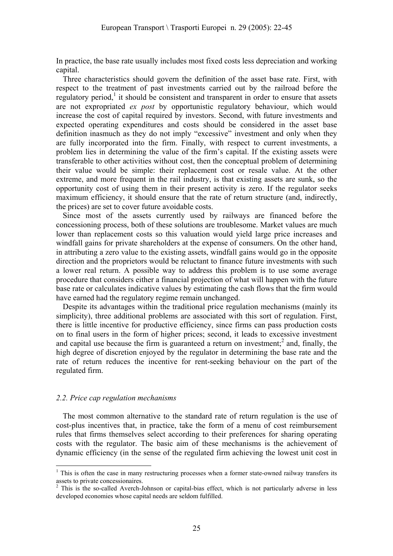In practice, the base rate usually includes most fixed costs less depreciation and working capital.

Three characteristics should govern the definition of the asset base rate. First, with respect to the treatment of past investments carried out by the railroad before the regulatory period,<sup>1</sup> it should be consistent and transparent in order to ensure that assets are not expropriated *ex post* by opportunistic regulatory behaviour, which would increase the cost of capital required by investors. Second, with future investments and expected operating expenditures and costs should be considered in the asset base definition inasmuch as they do not imply "excessive" investment and only when they are fully incorporated into the firm. Finally, with respect to current investments, a problem lies in determining the value of the firm's capital. If the existing assets were transferable to other activities without cost, then the conceptual problem of determining their value would be simple: their replacement cost or resale value. At the other extreme, and more frequent in the rail industry, is that existing assets are sunk, so the opportunity cost of using them in their present activity is zero. If the regulator seeks maximum efficiency, it should ensure that the rate of return structure (and, indirectly, the prices) are set to cover future avoidable costs.

Since most of the assets currently used by railways are financed before the concessioning process, both of these solutions are troublesome. Market values are much lower than replacement costs so this valuation would yield large price increases and windfall gains for private shareholders at the expense of consumers. On the other hand, in attributing a zero value to the existing assets, windfall gains would go in the opposite direction and the proprietors would be reluctant to finance future investments with such a lower real return. A possible way to address this problem is to use some average procedure that considers either a financial projection of what will happen with the future base rate or calculates indicative values by estimating the cash flows that the firm would have earned had the regulatory regime remain unchanged.

Despite its advantages within the traditional price regulation mechanisms (mainly its simplicity), three additional problems are associated with this sort of regulation. First, there is little incentive for productive efficiency, since firms can pass production costs on to final users in the form of higher prices; second, it leads to excessive investment and capital use because the firm is guaranteed a return on investment;<sup>2</sup> and, finally, the high degree of discretion enjoyed by the regulator in determining the base rate and the rate of return reduces the incentive for rent-seeking behaviour on the part of the regulated firm.

#### *2.2. Price cap regulation mechanisms*

 $\overline{a}$ 

The most common alternative to the standard rate of return regulation is the use of cost-plus incentives that, in practice, take the form of a menu of cost reimbursement rules that firms themselves select according to their preferences for sharing operating costs with the regulator. The basic aim of these mechanisms is the achievement of dynamic efficiency (in the sense of the regulated firm achieving the lowest unit cost in

 $1$  This is often the case in many restructuring processes when a former state-owned railway transfers its assets to private concessionaires.

<sup>&</sup>lt;sup>2</sup> This is the so-called Averch-Johnson or capital-bias effect, which is not particularly adverse in less developed economies whose capital needs are seldom fulfilled.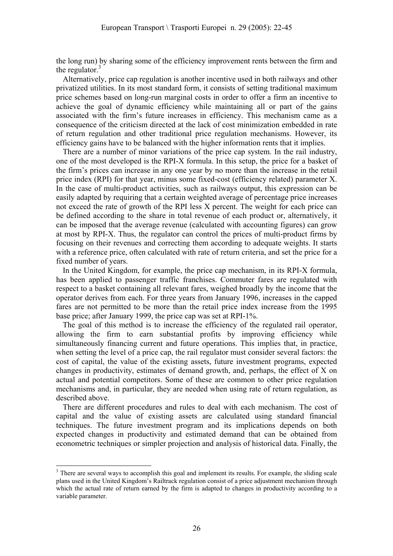the long run) by sharing some of the efficiency improvement rents between the firm and the regulator. $3$ 

Alternatively, price cap regulation is another incentive used in both railways and other privatized utilities. In its most standard form, it consists of setting traditional maximum price schemes based on long-run marginal costs in order to offer a firm an incentive to achieve the goal of dynamic efficiency while maintaining all or part of the gains associated with the firm's future increases in efficiency. This mechanism came as a consequence of the criticism directed at the lack of cost minimization embedded in rate of return regulation and other traditional price regulation mechanisms. However, its efficiency gains have to be balanced with the higher information rents that it implies.

There are a number of minor variations of the price cap system. In the rail industry, one of the most developed is the RPI-X formula. In this setup, the price for a basket of the firm's prices can increase in any one year by no more than the increase in the retail price index (RPI) for that year, minus some fixed-cost (efficiency related) parameter X. In the case of multi-product activities, such as railways output, this expression can be easily adapted by requiring that a certain weighted average of percentage price increases not exceed the rate of growth of the RPI less X percent. The weight for each price can be defined according to the share in total revenue of each product or, alternatively, it can be imposed that the average revenue (calculated with accounting figures) can grow at most by RPI-X. Thus, the regulator can control the prices of multi-product firms by focusing on their revenues and correcting them according to adequate weights. It starts with a reference price, often calculated with rate of return criteria, and set the price for a fixed number of years.

In the United Kingdom, for example, the price cap mechanism, in its RPI-X formula, has been applied to passenger traffic franchises. Commuter fares are regulated with respect to a basket containing all relevant fares, weighed broadly by the income that the operator derives from each. For three years from January 1996, increases in the capped fares are not permitted to be more than the retail price index increase from the 1995 base price; after January 1999, the price cap was set at RPI-1%.

The goal of this method is to increase the efficiency of the regulated rail operator, allowing the firm to earn substantial profits by improving efficiency while simultaneously financing current and future operations. This implies that, in practice, when setting the level of a price cap, the rail regulator must consider several factors: the cost of capital, the value of the existing assets, future investment programs, expected changes in productivity, estimates of demand growth, and, perhaps, the effect of X on actual and potential competitors. Some of these are common to other price regulation mechanisms and, in particular, they are needed when using rate of return regulation, as described above.

There are different procedures and rules to deal with each mechanism. The cost of capital and the value of existing assets are calculated using standard financial techniques. The future investment program and its implications depends on both expected changes in productivity and estimated demand that can be obtained from econometric techniques or simpler projection and analysis of historical data. Finally, the

 $\overline{a}$ 

 $3$  There are several ways to accomplish this goal and implement its results. For example, the sliding scale plans used in the United Kingdom's Railtrack regulation consist of a price adjustment mechanism through which the actual rate of return earned by the firm is adapted to changes in productivity according to a variable parameter.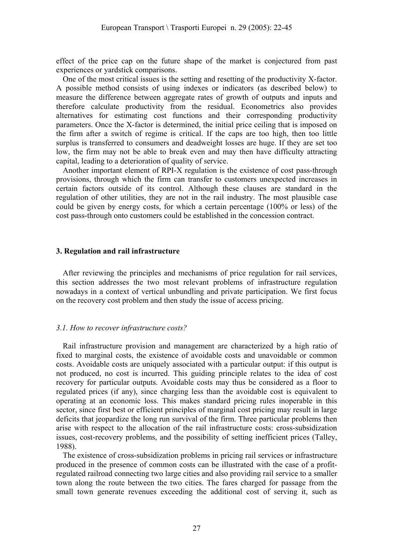effect of the price cap on the future shape of the market is conjectured from past experiences or yardstick comparisons.

One of the most critical issues is the setting and resetting of the productivity X-factor. A possible method consists of using indexes or indicators (as described below) to measure the difference between aggregate rates of growth of outputs and inputs and therefore calculate productivity from the residual. Econometrics also provides alternatives for estimating cost functions and their corresponding productivity parameters. Once the X-factor is determined, the initial price ceiling that is imposed on the firm after a switch of regime is critical. If the caps are too high, then too little surplus is transferred to consumers and deadweight losses are huge. If they are set too low, the firm may not be able to break even and may then have difficulty attracting capital, leading to a deterioration of quality of service.

Another important element of RPI-X regulation is the existence of cost pass-through provisions, through which the firm can transfer to customers unexpected increases in certain factors outside of its control. Although these clauses are standard in the regulation of other utilities, they are not in the rail industry. The most plausible case could be given by energy costs, for which a certain percentage (100% or less) of the cost pass-through onto customers could be established in the concession contract.

#### **3. Regulation and rail infrastructure**

After reviewing the principles and mechanisms of price regulation for rail services, this section addresses the two most relevant problems of infrastructure regulation nowadays in a context of vertical unbundling and private participation. We first focus on the recovery cost problem and then study the issue of access pricing.

#### *3.1. How to recover infrastructure costs?*

Rail infrastructure provision and management are characterized by a high ratio of fixed to marginal costs, the existence of avoidable costs and unavoidable or common costs. Avoidable costs are uniquely associated with a particular output: if this output is not produced, no cost is incurred. This guiding principle relates to the idea of cost recovery for particular outputs. Avoidable costs may thus be considered as a floor to regulated prices (if any), since charging less than the avoidable cost is equivalent to operating at an economic loss. This makes standard pricing rules inoperable in this sector, since first best or efficient principles of marginal cost pricing may result in large deficits that jeopardize the long run survival of the firm. Three particular problems then arise with respect to the allocation of the rail infrastructure costs: cross-subsidization issues, cost-recovery problems, and the possibility of setting inefficient prices (Talley, 1988).

The existence of cross-subsidization problems in pricing rail services or infrastructure produced in the presence of common costs can be illustrated with the case of a profitregulated railroad connecting two large cities and also providing rail service to a smaller town along the route between the two cities. The fares charged for passage from the small town generate revenues exceeding the additional cost of serving it, such as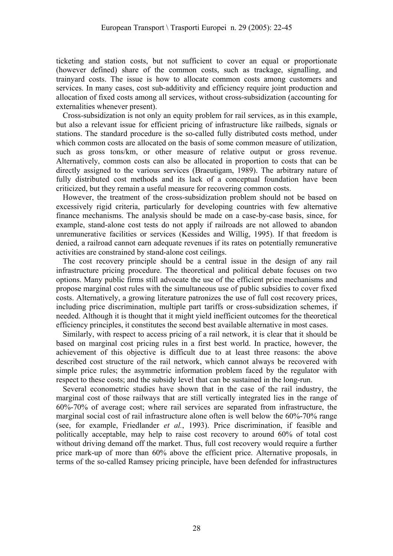ticketing and station costs, but not sufficient to cover an equal or proportionate (however defined) share of the common costs, such as trackage, signalling, and trainyard costs. The issue is how to allocate common costs among customers and services. In many cases, cost sub-additivity and efficiency require joint production and allocation of fixed costs among all services, without cross-subsidization (accounting for externalities whenever present).

Cross-subsidization is not only an equity problem for rail services, as in this example, but also a relevant issue for efficient pricing of infrastructure like railbeds, signals or stations. The standard procedure is the so-called fully distributed costs method, under which common costs are allocated on the basis of some common measure of utilization, such as gross tons/km, or other measure of relative output or gross revenue. Alternatively, common costs can also be allocated in proportion to costs that can be directly assigned to the various services (Braeutigam, 1989). The arbitrary nature of fully distributed cost methods and its lack of a conceptual foundation have been criticized, but they remain a useful measure for recovering common costs.

However, the treatment of the cross-subsidization problem should not be based on excessively rigid criteria, particularly for developing countries with few alternative finance mechanisms. The analysis should be made on a case-by-case basis, since, for example, stand-alone cost tests do not apply if railroads are not allowed to abandon unremunerative facilities or services (Kessides and Willig, 1995). If that freedom is denied, a railroad cannot earn adequate revenues if its rates on potentially remunerative activities are constrained by stand-alone cost ceilings.

The cost recovery principle should be a central issue in the design of any rail infrastructure pricing procedure. The theoretical and political debate focuses on two options. Many public firms still advocate the use of the efficient price mechanisms and propose marginal cost rules with the simultaneous use of public subsidies to cover fixed costs. Alternatively, a growing literature patronizes the use of full cost recovery prices, including price discrimination, multiple part tariffs or cross-subsidization schemes, if needed. Although it is thought that it might yield inefficient outcomes for the theoretical efficiency principles, it constitutes the second best available alternative in most cases.

Similarly, with respect to access pricing of a rail network, it is clear that it should be based on marginal cost pricing rules in a first best world. In practice, however, the achievement of this objective is difficult due to at least three reasons: the above described cost structure of the rail network, which cannot always be recovered with simple price rules; the asymmetric information problem faced by the regulator with respect to these costs; and the subsidy level that can be sustained in the long-run.

Several econometric studies have shown that in the case of the rail industry, the marginal cost of those railways that are still vertically integrated lies in the range of 60%-70% of average cost; where rail services are separated from infrastructure, the marginal social cost of rail infrastructure alone often is well below the 60%-70% range (see, for example, Friedlander *et al.*, 1993). Price discrimination, if feasible and politically acceptable, may help to raise cost recovery to around 60% of total cost without driving demand off the market. Thus, full cost recovery would require a further price mark-up of more than 60% above the efficient price. Alternative proposals, in terms of the so-called Ramsey pricing principle, have been defended for infrastructures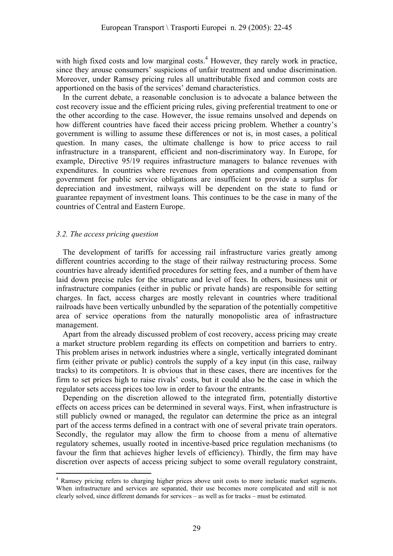with high fixed costs and low marginal costs.<sup>4</sup> However, they rarely work in practice, since they arouse consumers' suspicions of unfair treatment and undue discrimination. Moreover, under Ramsey pricing rules all unattributable fixed and common costs are apportioned on the basis of the services' demand characteristics.

In the current debate, a reasonable conclusion is to advocate a balance between the cost recovery issue and the efficient pricing rules, giving preferential treatment to one or the other according to the case. However, the issue remains unsolved and depends on how different countries have faced their access pricing problem. Whether a country's government is willing to assume these differences or not is, in most cases, a political question. In many cases, the ultimate challenge is how to price access to rail infrastructure in a transparent, efficient and non-discriminatory way. In Europe, for example, Directive 95/19 requires infrastructure managers to balance revenues with expenditures. In countries where revenues from operations and compensation from government for public service obligations are insufficient to provide a surplus for depreciation and investment, railways will be dependent on the state to fund or guarantee repayment of investment loans. This continues to be the case in many of the countries of Central and Eastern Europe.

#### *3.2. The access pricing question*

 $\overline{a}$ 

The development of tariffs for accessing rail infrastructure varies greatly among different countries according to the stage of their railway restructuring process. Some countries have already identified procedures for setting fees, and a number of them have laid down precise rules for the structure and level of fees. In others, business unit or infrastructure companies (either in public or private hands) are responsible for setting charges. In fact, access charges are mostly relevant in countries where traditional railroads have been vertically unbundled by the separation of the potentially competitive area of service operations from the naturally monopolistic area of infrastructure management.

Apart from the already discussed problem of cost recovery, access pricing may create a market structure problem regarding its effects on competition and barriers to entry. This problem arises in network industries where a single, vertically integrated dominant firm (either private or public) controls the supply of a key input (in this case, railway tracks) to its competitors. It is obvious that in these cases, there are incentives for the firm to set prices high to raise rivals' costs, but it could also be the case in which the regulator sets access prices too low in order to favour the entrants.

Depending on the discretion allowed to the integrated firm, potentially distortive effects on access prices can be determined in several ways. First, when infrastructure is still publicly owned or managed, the regulator can determine the price as an integral part of the access terms defined in a contract with one of several private train operators. Secondly, the regulator may allow the firm to choose from a menu of alternative regulatory schemes, usually rooted in incentive-based price regulation mechanisms (to favour the firm that achieves higher levels of efficiency). Thirdly, the firm may have discretion over aspects of access pricing subject to some overall regulatory constraint,

<sup>&</sup>lt;sup>4</sup> Ramsey pricing refers to charging higher prices above unit costs to more inelastic market segments. When infrastructure and services are separated, their use becomes more complicated and still is not clearly solved, since different demands for services – as well as for tracks – must be estimated.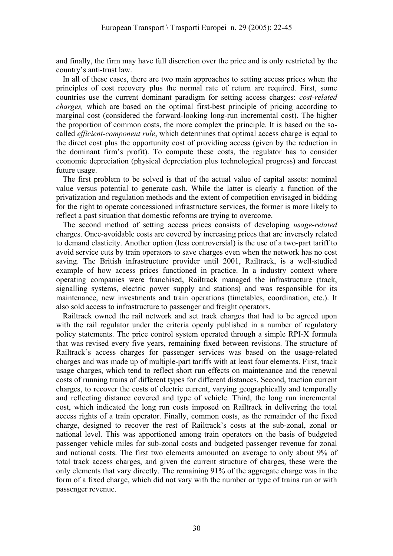and finally, the firm may have full discretion over the price and is only restricted by the country's anti-trust law.

In all of these cases, there are two main approaches to setting access prices when the principles of cost recovery plus the normal rate of return are required. First, some countries use the current dominant paradigm for setting access charges: *cost-related charges,* which are based on the optimal first-best principle of pricing according to marginal cost (considered the forward-looking long-run incremental cost). The higher the proportion of common costs, the more complex the principle. It is based on the socalled *efficient-component rule*, which determines that optimal access charge is equal to the direct cost plus the opportunity cost of providing access (given by the reduction in the dominant firm's profit). To compute these costs, the regulator has to consider economic depreciation (physical depreciation plus technological progress) and forecast future usage.

The first problem to be solved is that of the actual value of capital assets: nominal value versus potential to generate cash. While the latter is clearly a function of the privatization and regulation methods and the extent of competition envisaged in bidding for the right to operate concessioned infrastructure services, the former is more likely to reflect a past situation that domestic reforms are trying to overcome.

The second method of setting access prices consists of developing *usage-related* charges. Once-avoidable costs are covered by increasing prices that are inversely related to demand elasticity. Another option (less controversial) is the use of a two-part tariff to avoid service cuts by train operators to save charges even when the network has no cost saving. The British infrastructure provider until 2001, Railtrack, is a well-studied example of how access prices functioned in practice. In a industry context where operating companies were franchised, Railtrack managed the infrastructure (track, signalling systems, electric power supply and stations) and was responsible for its maintenance, new investments and train operations (timetables, coordination, etc.). It also sold access to infrastructure to passenger and freight operators.

Railtrack owned the rail network and set track charges that had to be agreed upon with the rail regulator under the criteria openly published in a number of regulatory policy statements. The price control system operated through a simple RPI-X formula that was revised every five years, remaining fixed between revisions. The structure of Railtrack's access charges for passenger services was based on the usage-related charges and was made up of multiple-part tariffs with at least four elements. First, track usage charges, which tend to reflect short run effects on maintenance and the renewal costs of running trains of different types for different distances. Second, traction current charges, to recover the costs of electric current, varying geographically and temporally and reflecting distance covered and type of vehicle. Third, the long run incremental cost, which indicated the long run costs imposed on Railtrack in delivering the total access rights of a train operator. Finally, common costs, as the remainder of the fixed charge, designed to recover the rest of Railtrack's costs at the sub-zonal, zonal or national level. This was apportioned among train operators on the basis of budgeted passenger vehicle miles for sub-zonal costs and budgeted passenger revenue for zonal and national costs. The first two elements amounted on average to only about 9% of total track access charges, and given the current structure of charges, these were the only elements that vary directly. The remaining 91% of the aggregate charge was in the form of a fixed charge, which did not vary with the number or type of trains run or with passenger revenue.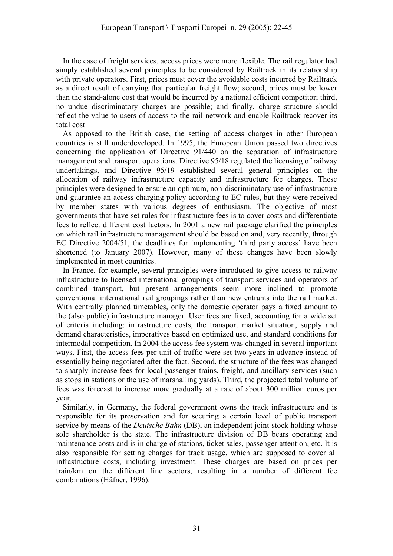In the case of freight services, access prices were more flexible. The rail regulator had simply established several principles to be considered by Railtrack in its relationship with private operators. First, prices must cover the avoidable costs incurred by Railtrack as a direct result of carrying that particular freight flow; second, prices must be lower than the stand-alone cost that would be incurred by a national efficient competitor; third, no undue discriminatory charges are possible; and finally, charge structure should reflect the value to users of access to the rail network and enable Railtrack recover its total cost

As opposed to the British case, the setting of access charges in other European countries is still underdeveloped. In 1995, the European Union passed two directives concerning the application of Directive 91/440 on the separation of infrastructure management and transport operations. Directive 95/18 regulated the licensing of railway undertakings, and Directive 95/19 established several general principles on the allocation of railway infrastructure capacity and infrastructure fee charges. These principles were designed to ensure an optimum, non-discriminatory use of infrastructure and guarantee an access charging policy according to EC rules, but they were received by member states with various degrees of enthusiasm. The objective of most governments that have set rules for infrastructure fees is to cover costs and differentiate fees to reflect different cost factors. In 2001 a new rail package clarified the principles on which rail infrastructure management should be based on and, very recently, through EC Directive 2004/51, the deadlines for implementing 'third party access' have been shortened (to January 2007). However, many of these changes have been slowly implemented in most countries.

In France, for example, several principles were introduced to give access to railway infrastructure to licensed international groupings of transport services and operators of combined transport, but present arrangements seem more inclined to promote conventional international rail groupings rather than new entrants into the rail market. With centrally planned timetables, only the domestic operator pays a fixed amount to the (also public) infrastructure manager. User fees are fixed, accounting for a wide set of criteria including: infrastructure costs, the transport market situation, supply and demand characteristics, imperatives based on optimized use, and standard conditions for intermodal competition. In 2004 the access fee system was changed in several important ways. First, the access fees per unit of traffic were set two years in advance instead of essentially being negotiated after the fact. Second, the structure of the fees was changed to sharply increase fees for local passenger trains, freight, and ancillary services (such as stops in stations or the use of marshalling yards). Third, the projected total volume of fees was forecast to increase more gradually at a rate of about 300 million euros per year.

Similarly, in Germany, the federal government owns the track infrastructure and is responsible for its preservation and for securing a certain level of public transport service by means of the *Deutsche Bahn* (DB), an independent joint-stock holding whose sole shareholder is the state. The infrastructure division of DB bears operating and maintenance costs and is in charge of stations, ticket sales, passenger attention, etc. It is also responsible for setting charges for track usage, which are supposed to cover all infrastructure costs, including investment. These charges are based on prices per train/km on the different line sectors, resulting in a number of different fee combinations (Häfner, 1996).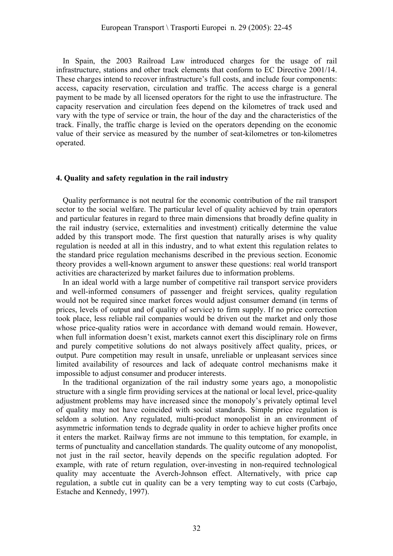In Spain, the 2003 Railroad Law introduced charges for the usage of rail infrastructure, stations and other track elements that conform to EC Directive 2001/14. These charges intend to recover infrastructure's full costs, and include four components: access, capacity reservation, circulation and traffic. The access charge is a general payment to be made by all licensed operators for the right to use the infrastructure. The capacity reservation and circulation fees depend on the kilometres of track used and vary with the type of service or train, the hour of the day and the characteristics of the track. Finally, the traffic charge is levied on the operators depending on the economic value of their service as measured by the number of seat-kilometres or ton-kilometres operated.

#### **4. Quality and safety regulation in the rail industry**

Quality performance is not neutral for the economic contribution of the rail transport sector to the social welfare. The particular level of quality achieved by train operators and particular features in regard to three main dimensions that broadly define quality in the rail industry (service, externalities and investment) critically determine the value added by this transport mode. The first question that naturally arises is why quality regulation is needed at all in this industry, and to what extent this regulation relates to the standard price regulation mechanisms described in the previous section. Economic theory provides a well-known argument to answer these questions: real world transport activities are characterized by market failures due to information problems.

In an ideal world with a large number of competitive rail transport service providers and well-informed consumers of passenger and freight services, quality regulation would not be required since market forces would adjust consumer demand (in terms of prices, levels of output and of quality of service) to firm supply. If no price correction took place, less reliable rail companies would be driven out the market and only those whose price-quality ratios were in accordance with demand would remain. However, when full information doesn't exist, markets cannot exert this disciplinary role on firms and purely competitive solutions do not always positively affect quality, prices, or output. Pure competition may result in unsafe, unreliable or unpleasant services since limited availability of resources and lack of adequate control mechanisms make it impossible to adjust consumer and producer interests.

In the traditional organization of the rail industry some years ago, a monopolistic structure with a single firm providing services at the national or local level, price-quality adjustment problems may have increased since the monopoly's privately optimal level of quality may not have coincided with social standards. Simple price regulation is seldom a solution. Any regulated, multi-product monopolist in an environment of asymmetric information tends to degrade quality in order to achieve higher profits once it enters the market. Railway firms are not immune to this temptation, for example, in terms of punctuality and cancellation standards. The quality outcome of any monopolist, not just in the rail sector, heavily depends on the specific regulation adopted. For example, with rate of return regulation, over-investing in non-required technological quality may accentuate the Averch-Johnson effect. Alternatively, with price cap regulation, a subtle cut in quality can be a very tempting way to cut costs (Carbajo, Estache and Kennedy, 1997).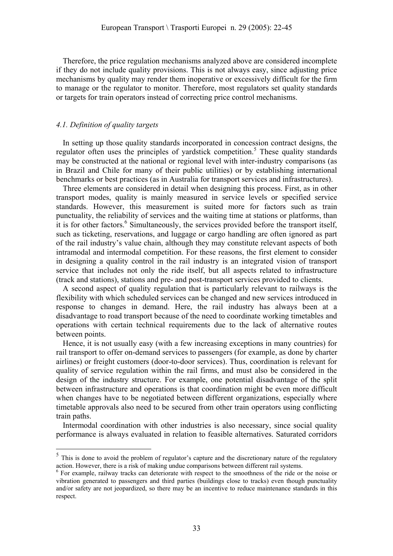Therefore, the price regulation mechanisms analyzed above are considered incomplete if they do not include quality provisions. This is not always easy, since adjusting price mechanisms by quality may render them inoperative or excessively difficult for the firm to manage or the regulator to monitor. Therefore, most regulators set quality standards or targets for train operators instead of correcting price control mechanisms.

## *4.1. Definition of quality targets*

 $\overline{a}$ 

In setting up those quality standards incorporated in concession contract designs, the regulator often uses the principles of yardstick competition.<sup>5</sup> These quality standards may be constructed at the national or regional level with inter-industry comparisons (as in Brazil and Chile for many of their public utilities) or by establishing international benchmarks or best practices (as in Australia for transport services and infrastructures).

Three elements are considered in detail when designing this process. First, as in other transport modes, quality is mainly measured in service levels or specified service standards. However, this measurement is suited more for factors such as train punctuality, the reliability of services and the waiting time at stations or platforms, than it is for other factors.<sup>6</sup> Simultaneously, the services provided before the transport itself, such as ticketing, reservations, and luggage or cargo handling are often ignored as part of the rail industry's value chain, although they may constitute relevant aspects of both intramodal and intermodal competition. For these reasons, the first element to consider in designing a quality control in the rail industry is an integrated vision of transport service that includes not only the ride itself, but all aspects related to infrastructure (track and stations), stations and pre- and post-transport services provided to clients.

A second aspect of quality regulation that is particularly relevant to railways is the flexibility with which scheduled services can be changed and new services introduced in response to changes in demand. Here, the rail industry has always been at a disadvantage to road transport because of the need to coordinate working timetables and operations with certain technical requirements due to the lack of alternative routes between points.

Hence, it is not usually easy (with a few increasing exceptions in many countries) for rail transport to offer on-demand services to passengers (for example, as done by charter airlines) or freight customers (door-to-door services). Thus, coordination is relevant for quality of service regulation within the rail firms, and must also be considered in the design of the industry structure. For example, one potential disadvantage of the split between infrastructure and operations is that coordination might be even more difficult when changes have to be negotiated between different organizations, especially where timetable approvals also need to be secured from other train operators using conflicting train paths.

Intermodal coordination with other industries is also necessary, since social quality performance is always evaluated in relation to feasible alternatives. Saturated corridors

<sup>&</sup>lt;sup>5</sup> This is done to avoid the problem of regulator's capture and the discretionary nature of the regulatory action. However, there is a risk of making undue comparisons between different rail systems.

<sup>&</sup>lt;sup>6</sup> For example, railway tracks can deteriorate with respect to the smoothness of the ride or the noise or vibration generated to passengers and third parties (buildings close to tracks) even though punctuality and/or safety are not jeopardized, so there may be an incentive to reduce maintenance standards in this respect.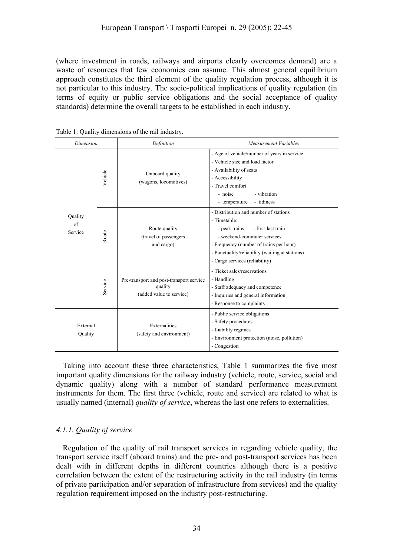(where investment in roads, railways and airports clearly overcomes demand) are a waste of resources that few economies can assume. This almost general equilibrium approach constitutes the third element of the quality regulation process, although it is not particular to this industry. The socio-political implications of quality regulation (in terms of equity or public service obligations and the social acceptance of quality standards) determine the overall targets to be established in each industry.

| Dimension                |         | Definition                                                                      | Measurement Variables                                                                                                                                                                                                                                       |
|--------------------------|---------|---------------------------------------------------------------------------------|-------------------------------------------------------------------------------------------------------------------------------------------------------------------------------------------------------------------------------------------------------------|
| Quality<br>of<br>Service | Vehicle | Onboard quality<br>(wagons, locomotives)                                        | - Age of vehicle/number of years in service<br>- Vehicle size and load factor<br>- Availability of seats<br>- Accessibility<br>- Travel comfort<br>- vibration<br>- noise<br>- tidiness<br>- temperature                                                    |
|                          | Route   | Route quality<br>(travel of passengers)<br>and cargo)                           | - Distribution and number of stations<br>- Timetable:<br>- first-last train<br>- peak trains<br>- weekend-commuter services<br>- Frequency (number of trains per hour)<br>- Punctuality/reliability (waiting at stations)<br>- Cargo services (reliability) |
|                          | Service | Pre-transport and post-transport service<br>quality<br>(added value to service) | - Ticket sales/reservations<br>- Handling<br>- Staff adequacy and competence<br>- Inquiries and general information<br>- Response to complaints                                                                                                             |
| External<br>Quality      |         | Externalities<br>(safety and environment)                                       | - Public service obligations<br>- Safety procedures<br>- Liability regimes<br>- Environment protection (noise, pollution)<br>- Congestion                                                                                                                   |

Taking into account these three characteristics, Table 1 summarizes the five most important quality dimensions for the railway industry (vehicle, route, service, social and dynamic quality) along with a number of standard performance measurement instruments for them. The first three (vehicle, route and service) are related to what is usually named (internal) *quality of service*, whereas the last one refers to externalities.

# *4.1.1. Quality of service*

Regulation of the quality of rail transport services in regarding vehicle quality, the transport service itself (aboard trains) and the pre- and post-transport services has been dealt with in different depths in different countries although there is a positive correlation between the extent of the restructuring activity in the rail industry (in terms of private participation and/or separation of infrastructure from services) and the quality regulation requirement imposed on the industry post-restructuring.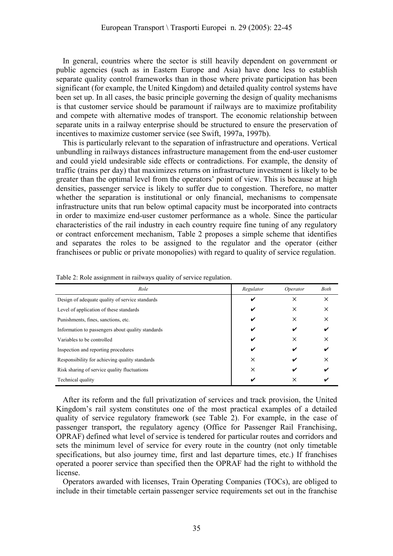In general, countries where the sector is still heavily dependent on government or public agencies (such as in Eastern Europe and Asia) have done less to establish separate quality control frameworks than in those where private participation has been significant (for example, the United Kingdom) and detailed quality control systems have been set up. In all cases, the basic principle governing the design of quality mechanisms is that customer service should be paramount if railways are to maximize profitability and compete with alternative modes of transport. The economic relationship between separate units in a railway enterprise should be structured to ensure the preservation of incentives to maximize customer service (see Swift, 1997a, 1997b).

This is particularly relevant to the separation of infrastructure and operations. Vertical unbundling in railways distances infrastructure management from the end-user customer and could yield undesirable side effects or contradictions. For example, the density of traffic (trains per day) that maximizes returns on infrastructure investment is likely to be greater than the optimal level from the operators' point of view. This is because at high densities, passenger service is likely to suffer due to congestion. Therefore, no matter whether the separation is institutional or only financial, mechanisms to compensate infrastructure units that run below optimal capacity must be incorporated into contracts in order to maximize end-user customer performance as a whole. Since the particular characteristics of the rail industry in each country require fine tuning of any regulatory or contract enforcement mechanism, Table 2 proposes a simple scheme that identifies and separates the roles to be assigned to the regulator and the operator (either franchisees or public or private monopolies) with regard to quality of service regulation.

| Role                                              | Regulator | Operator | Both     |
|---------------------------------------------------|-----------|----------|----------|
| Design of adequate quality of service standards   | V         | ×        | $\times$ |
| Level of application of these standards           | V         | $\times$ | $\times$ |
| Punishments, fines, sanctions, etc.               | ✓         | ×        | $\times$ |
| Information to passengers about quality standards | V         | v        |          |
| Variables to be controlled                        | V         | ×        | ×        |
| Inspection and reporting procedures               | ✔         | ✔        |          |
| Responsibility for achieving quality standards    | $\times$  | ✔        | ×        |
| Risk sharing of service quality fluctuations      | $\times$  | ✔        |          |
| Technical quality                                 | v         | ×        |          |

Table 2: Role assignment in railways quality of service regulation.

After its reform and the full privatization of services and track provision, the United Kingdom's rail system constitutes one of the most practical examples of a detailed quality of service regulatory framework (see Table 2). For example, in the case of passenger transport, the regulatory agency (Office for Passenger Rail Franchising, OPRAF) defined what level of service is tendered for particular routes and corridors and sets the minimum level of service for every route in the country (not only timetable specifications, but also journey time, first and last departure times, etc.) If franchises operated a poorer service than specified then the OPRAF had the right to withhold the license.

Operators awarded with licenses, Train Operating Companies (TOCs), are obliged to include in their timetable certain passenger service requirements set out in the franchise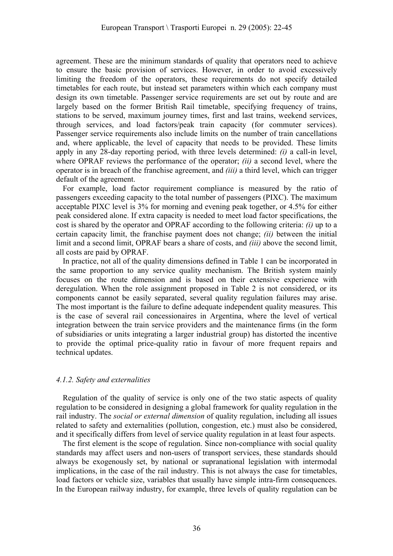agreement. These are the minimum standards of quality that operators need to achieve to ensure the basic provision of services. However, in order to avoid excessively limiting the freedom of the operators, these requirements do not specify detailed timetables for each route, but instead set parameters within which each company must design its own timetable. Passenger service requirements are set out by route and are largely based on the former British Rail timetable, specifying frequency of trains, stations to be served, maximum journey times, first and last trains, weekend services, through services, and load factors/peak train capacity (for commuter services). Passenger service requirements also include limits on the number of train cancellations and, where applicable, the level of capacity that needs to be provided. These limits apply in any 28-day reporting period, with three levels determined: *(i)* a call-in level, where OPRAF reviews the performance of the operator; *(ii)* a second level, where the operator is in breach of the franchise agreement, and *(iii)* a third level, which can trigger default of the agreement.

For example, load factor requirement compliance is measured by the ratio of passengers exceeding capacity to the total number of passengers (PIXC). The maximum acceptable PIXC level is 3% for morning and evening peak together, or 4.5% for either peak considered alone. If extra capacity is needed to meet load factor specifications, the cost is shared by the operator and OPRAF according to the following criteria: *(i)* up to a certain capacity limit, the franchise payment does not change; *(ii)* between the initial limit and a second limit, OPRAF bears a share of costs, and *(iii)* above the second limit, all costs are paid by OPRAF.

In practice, not all of the quality dimensions defined in Table 1 can be incorporated in the same proportion to any service quality mechanism. The British system mainly focuses on the route dimension and is based on their extensive experience with deregulation. When the role assignment proposed in Table 2 is not considered, or its components cannot be easily separated, several quality regulation failures may arise. The most important is the failure to define adequate independent quality measures. This is the case of several rail concessionaires in Argentina, where the level of vertical integration between the train service providers and the maintenance firms (in the form of subsidiaries or units integrating a larger industrial group) has distorted the incentive to provide the optimal price-quality ratio in favour of more frequent repairs and technical updates.

#### *4.1.2. Safety and externalities*

Regulation of the quality of service is only one of the two static aspects of quality regulation to be considered in designing a global framework for quality regulation in the rail industry. The *social or external dimension* of quality regulation, including all issues related to safety and externalities (pollution, congestion, etc.) must also be considered, and it specifically differs from level of service quality regulation in at least four aspects.

The first element is the scope of regulation. Since non-compliance with social quality standards may affect users and non-users of transport services, these standards should always be exogenously set, by national or supranational legislation with intermodal implications, in the case of the rail industry. This is not always the case for timetables, load factors or vehicle size, variables that usually have simple intra-firm consequences. In the European railway industry, for example, three levels of quality regulation can be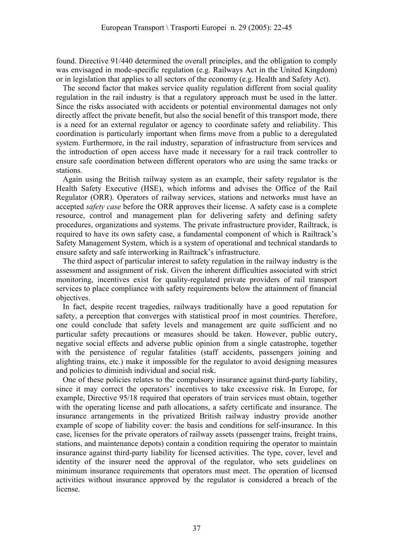found. Directive 91/440 determined the overall principles, and the obligation to comply was envisaged in mode-specific regulation (e.g. Railways Act in the United Kingdom) or in legislation that applies to all sectors of the economy (e.g. Health and Safety Act).

The second factor that makes service quality regulation different from social quality regulation in the rail industry is that a regulatory approach must be used in the latter. Since the risks associated with accidents or potential environmental damages not only directly affect the private benefit, but also the social benefit of this transport mode, there is a need for an external regulator or agency to coordinate safety and reliability. This coordination is particularly important when firms move from a public to a deregulated system. Furthermore, in the rail industry, separation of infrastructure from services and the introduction of open access have made it necessary for a rail track controller to ensure safe coordination between different operators who are using the same tracks or stations.

Again using the British railway system as an example, their safety regulator is the Health Safety Executive (HSE), which informs and advises the Office of the Rail Regulator (ORR). Operators of railway services, stations and networks must have an accepted *safety case* before the ORR approves their license. A safety case is a complete resource, control and management plan for delivering safety and defining safety procedures, organizations and systems. The private infrastructure provider, Railtrack, is required to have its own safety case, a fundamental component of which is Railtrack's Safety Management System, which is a system of operational and technical standards to ensure safety and safe interworking in Railtrack's infrastructure.

The third aspect of particular interest to safety regulation in the railway industry is the assessment and assignment of risk. Given the inherent difficulties associated with strict monitoring, incentives exist for quality-regulated private providers of rail transport services to place compliance with safety requirements below the attainment of financial objectives.

In fact, despite recent tragedies, railways traditionally have a good reputation for safety, a perception that converges with statistical proof in most countries. Therefore, one could conclude that safety levels and management are quite sufficient and no particular safety precautions or measures should be taken. However, public outcry, negative social effects and adverse public opinion from a single catastrophe, together with the persistence of regular fatalities (staff accidents, passengers joining and alighting trains, etc.) make it impossible for the regulator to avoid designing measures and policies to diminish individual and social risk.

One of these policies relates to the compulsory insurance against third-party liability, since it may correct the operators' incentives to take excessive risk. In Europe, for example, Directive 95/18 required that operators of train services must obtain, together with the operating license and path allocations, a safety certificate and insurance. The insurance arrangements in the privatized British railway industry provide another example of scope of liability cover: the basis and conditions for self-insurance. In this case, licenses for the private operators of railway assets (passenger trains, freight trains, stations, and maintenance depots) contain a condition requiring the operator to maintain insurance against third-party liability for licensed activities. The type, cover, level and identity of the insurer need the approval of the regulator, who sets guidelines on minimum insurance requirements that operators must meet. The operation of licensed activities without insurance approved by the regulator is considered a breach of the license.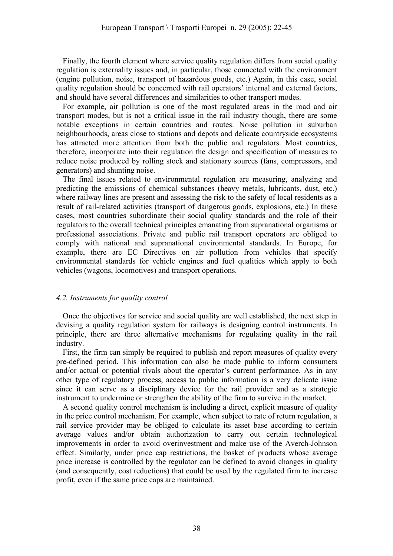Finally, the fourth element where service quality regulation differs from social quality regulation is externality issues and, in particular, those connected with the environment (engine pollution, noise, transport of hazardous goods, etc.) Again, in this case, social quality regulation should be concerned with rail operators' internal and external factors, and should have several differences and similarities to other transport modes.

For example, air pollution is one of the most regulated areas in the road and air transport modes, but is not a critical issue in the rail industry though, there are some notable exceptions in certain countries and routes. Noise pollution in suburban neighbourhoods, areas close to stations and depots and delicate countryside ecosystems has attracted more attention from both the public and regulators. Most countries, therefore, incorporate into their regulation the design and specification of measures to reduce noise produced by rolling stock and stationary sources (fans, compressors, and generators) and shunting noise.

The final issues related to environmental regulation are measuring, analyzing and predicting the emissions of chemical substances (heavy metals, lubricants, dust, etc.) where railway lines are present and assessing the risk to the safety of local residents as a result of rail-related activities (transport of dangerous goods, explosions, etc.) In these cases, most countries subordinate their social quality standards and the role of their regulators to the overall technical principles emanating from supranational organisms or professional associations. Private and public rail transport operators are obliged to comply with national and supranational environmental standards. In Europe, for example, there are EC Directives on air pollution from vehicles that specify environmental standards for vehicle engines and fuel qualities which apply to both vehicles (wagons, locomotives) and transport operations.

## *4.2. Instruments for quality control*

Once the objectives for service and social quality are well established, the next step in devising a quality regulation system for railways is designing control instruments. In principle, there are three alternative mechanisms for regulating quality in the rail industry.

First, the firm can simply be required to publish and report measures of quality every pre-defined period. This information can also be made public to inform consumers and/or actual or potential rivals about the operator's current performance. As in any other type of regulatory process, access to public information is a very delicate issue since it can serve as a disciplinary device for the rail provider and as a strategic instrument to undermine or strengthen the ability of the firm to survive in the market.

A second quality control mechanism is including a direct, explicit measure of quality in the price control mechanism. For example, when subject to rate of return regulation, a rail service provider may be obliged to calculate its asset base according to certain average values and/or obtain authorization to carry out certain technological improvements in order to avoid overinvestment and make use of the Averch-Johnson effect. Similarly, under price cap restrictions, the basket of products whose average price increase is controlled by the regulator can be defined to avoid changes in quality (and consequently, cost reductions) that could be used by the regulated firm to increase profit, even if the same price caps are maintained.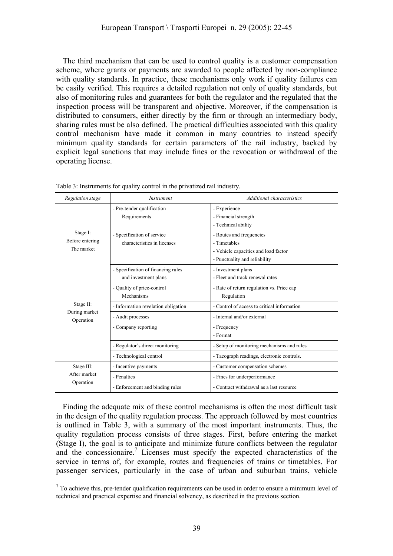The third mechanism that can be used to control quality is a customer compensation scheme, where grants or payments are awarded to people affected by non-compliance with quality standards. In practice, these mechanisms only work if quality failures can be easily verified. This requires a detailed regulation not only of quality standards, but also of monitoring rules and guarantees for both the regulator and the regulated that the inspection process will be transparent and objective. Moreover, if the compensation is distributed to consumers, either directly by the firm or through an intermediary body, sharing rules must be also defined. The practical difficulties associated with this quality control mechanism have made it common in many countries to instead specify minimum quality standards for certain parameters of the rail industry, backed by explicit legal sanctions that may include fines or the revocation or withdrawal of the operating license.

| Regulation stage                          | <i>Instrument</i>                                          | Additional characteristics                                                                                        |
|-------------------------------------------|------------------------------------------------------------|-------------------------------------------------------------------------------------------------------------------|
|                                           | - Pre-tender qualification<br>Requirements                 | - Experience<br>- Financial strength<br>- Technical ability                                                       |
| Stage I:<br>Before entering<br>The market | - Specification of service<br>characteristics in licenses  | - Routes and frequencies<br>- Timetables<br>- Vehicle capacities and load factor<br>- Punctuality and reliability |
|                                           | - Specification of financing rules<br>and investment plans | - Investment plans<br>- Fleet and track renewal rates                                                             |
|                                           | - Quality of price-control<br>Mechanisms                   | - Rate of return regulation vs. Price cap<br>Regulation                                                           |
| Stage II:                                 | - Information revelation obligation                        | - Control of access to critical information                                                                       |
| During market<br>Operation                | - Audit processes                                          | - Internal and/or external                                                                                        |
|                                           | - Company reporting                                        | - Frequency<br>- Format                                                                                           |
|                                           | - Regulator's direct monitoring                            | - Setup of monitoring mechanisms and rules                                                                        |
|                                           | - Technological control                                    | - Tacograph readings, electronic controls.                                                                        |
| Stage III:                                | - Incentive payments                                       | - Customer compensation schemes                                                                                   |
| After market                              | - Penalties                                                | - Fines for underperformance                                                                                      |
| Operation                                 | - Enforcement and binding rules                            | - Contract withdrawal as a last resource                                                                          |

Table 3: Instruments for quality control in the privatized rail industry.

Finding the adequate mix of these control mechanisms is often the most difficult task in the design of the quality regulation process. The approach followed by most countries is outlined in Table 3, with a summary of the most important instruments. Thus, the quality regulation process consists of three stages. First, before entering the market (Stage I), the goal is to anticipate and minimize future conflicts between the regulator and the concessionaire.<sup>7</sup> Licenses must specify the expected characteristics of the service in terms of, for example, routes and frequencies of trains or timetables. For passenger services, particularly in the case of urban and suburban trains, vehicle

 $\overline{a}$  $<sup>7</sup>$  To achieve this, pre-tender qualification requirements can be used in order to ensure a minimum level of</sup> technical and practical expertise and financial solvency, as described in the previous section.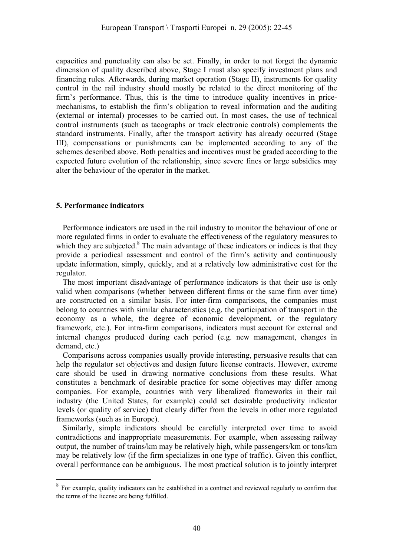capacities and punctuality can also be set. Finally, in order to not forget the dynamic dimension of quality described above, Stage I must also specify investment plans and financing rules. Afterwards, during market operation (Stage II), instruments for quality control in the rail industry should mostly be related to the direct monitoring of the firm's performance. Thus, this is the time to introduce quality incentives in pricemechanisms, to establish the firm's obligation to reveal information and the auditing (external or internal) processes to be carried out. In most cases, the use of technical control instruments (such as tacographs or track electronic controls) complements the standard instruments. Finally, after the transport activity has already occurred (Stage III), compensations or punishments can be implemented according to any of the schemes described above. Both penalties and incentives must be graded according to the expected future evolution of the relationship, since severe fines or large subsidies may alter the behaviour of the operator in the market.

#### **5. Performance indicators**

 $\overline{a}$ 

Performance indicators are used in the rail industry to monitor the behaviour of one or more regulated firms in order to evaluate the effectiveness of the regulatory measures to which they are subjected.<sup>8</sup> The main advantage of these indicators or indices is that they provide a periodical assessment and control of the firm's activity and continuously update information, simply, quickly, and at a relatively low administrative cost for the regulator.

The most important disadvantage of performance indicators is that their use is only valid when comparisons (whether between different firms or the same firm over time) are constructed on a similar basis. For inter-firm comparisons, the companies must belong to countries with similar characteristics (e.g. the participation of transport in the economy as a whole, the degree of economic development, or the regulatory framework, etc.). For intra-firm comparisons, indicators must account for external and internal changes produced during each period (e.g. new management, changes in demand, etc.)

Comparisons across companies usually provide interesting, persuasive results that can help the regulator set objectives and design future license contracts. However, extreme care should be used in drawing normative conclusions from these results. What constitutes a benchmark of desirable practice for some objectives may differ among companies. For example, countries with very liberalized frameworks in their rail industry (the United States, for example) could set desirable productivity indicator levels (or quality of service) that clearly differ from the levels in other more regulated frameworks (such as in Europe).

Similarly, simple indicators should be carefully interpreted over time to avoid contradictions and inappropriate measurements. For example, when assessing railway output, the number of trains/km may be relatively high, while passengers/km or tons/km may be relatively low (if the firm specializes in one type of traffic). Given this conflict, overall performance can be ambiguous. The most practical solution is to jointly interpret

<sup>&</sup>lt;sup>8</sup> For example, quality indicators can be established in a contract and reviewed regularly to confirm that the terms of the license are being fulfilled.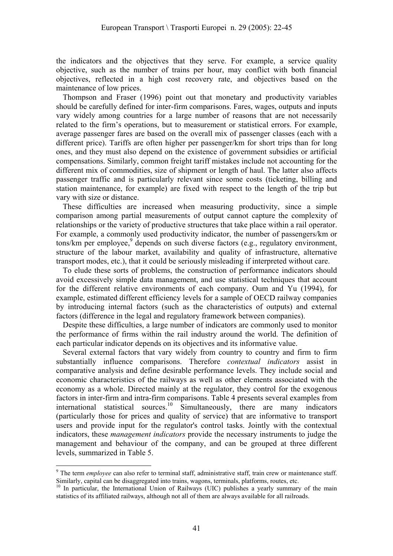the indicators and the objectives that they serve. For example, a service quality objective, such as the number of trains per hour, may conflict with both financial objectives, reflected in a high cost recovery rate, and objectives based on the maintenance of low prices.

Thompson and Fraser (1996) point out that monetary and productivity variables should be carefully defined for inter-firm comparisons. Fares, wages, outputs and inputs vary widely among countries for a large number of reasons that are not necessarily related to the firm's operations, but to measurement or statistical errors. For example, average passenger fares are based on the overall mix of passenger classes (each with a different price). Tariffs are often higher per passenger/km for short trips than for long ones, and they must also depend on the existence of government subsidies or artificial compensations. Similarly, common freight tariff mistakes include not accounting for the different mix of commodities, size of shipment or length of haul. The latter also affects passenger traffic and is particularly relevant since some costs (ticketing, billing and station maintenance, for example) are fixed with respect to the length of the trip but vary with size or distance.

These difficulties are increased when measuring productivity, since a simple comparison among partial measurements of output cannot capture the complexity of relationships or the variety of productive structures that take place within a rail operator. For example, a commonly used productivity indicator, the number of passengers/km or tons/km per employee,<sup>9</sup> depends on such diverse factors (e.g., regulatory environment, structure of the labour market, availability and quality of infrastructure, alternative transport modes, etc.), that it could be seriously misleading if interpreted without care.

To elude these sorts of problems, the construction of performance indicators should avoid excessively simple data management, and use statistical techniques that account for the different relative environments of each company. Oum and Yu (1994), for example, estimated different efficiency levels for a sample of OECD railway companies by introducing internal factors (such as the characteristics of outputs) and external factors (difference in the legal and regulatory framework between companies).

Despite these difficulties, a large number of indicators are commonly used to monitor the performance of firms within the rail industry around the world. The definition of each particular indicator depends on its objectives and its informative value.

Several external factors that vary widely from country to country and firm to firm substantially influence comparisons. Therefore *contextual indicators* assist in comparative analysis and define desirable performance levels. They include social and economic characteristics of the railways as well as other elements associated with the economy as a whole. Directed mainly at the regulator, they control for the exogenous factors in inter-firm and intra-firm comparisons. Table 4 presents several examples from international statistical sources.<sup>10</sup> Simultaneously, there are many indicators (particularly those for prices and quality of service) that are informative to transport users and provide input for the regulator's control tasks. Jointly with the contextual indicators, these *management indicators* provide the necessary instruments to judge the management and behaviour of the company, and can be grouped at three different levels, summarized in Table 5.

 $\overline{a}$ 

<sup>&</sup>lt;sup>9</sup> The term *employee* can also refer to terminal staff, administrative staff, train crew or maintenance staff. Similarly, capital can be disaggregated into trains, wagons, terminals, platforms, routes, etc.<br><sup>10</sup> In particular, the International Union of Railways (UIC) publishes a yearly summary of the main

statistics of its affiliated railways, although not all of them are always available for all railroads.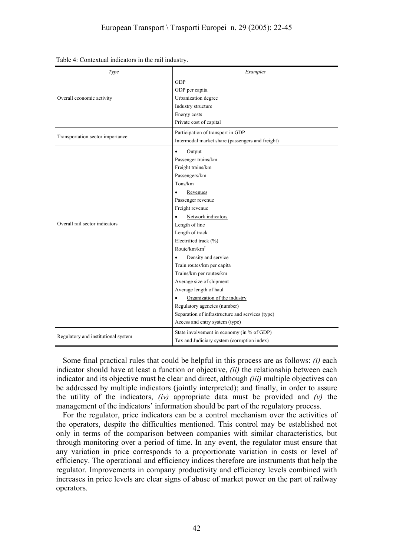| Type                                | Examples                                         |
|-------------------------------------|--------------------------------------------------|
|                                     | <b>GDP</b>                                       |
|                                     | GDP per capita                                   |
| Overall economic activity           | Urbanization degree                              |
|                                     | Industry structure                               |
|                                     | Energy costs                                     |
|                                     | Private cost of capital                          |
|                                     | Participation of transport in GDP                |
| Transportation sector importance    | Intermodal market share (passengers and freight) |
|                                     | $\bullet$<br>Output                              |
|                                     | Passenger trains/km                              |
|                                     | Freight trains/km                                |
|                                     | Passengers/km                                    |
|                                     | Tons/km                                          |
|                                     | $\bullet$<br>Revenues                            |
|                                     | Passenger revenue                                |
|                                     | Freight revenue                                  |
|                                     | Network indicators<br>$\bullet$                  |
| Overall rail sector indicators      | Length of line                                   |
|                                     | Length of track                                  |
|                                     | Electrified track (%)                            |
|                                     | Route/km/km <sup>2</sup>                         |
|                                     | Density and service<br>$\bullet$                 |
|                                     | Train routes/km per capita                       |
|                                     | Trains/km per routes/km                          |
|                                     | Average size of shipment                         |
|                                     | Average length of haul                           |
|                                     | Organization of the industry<br>$\bullet$        |
|                                     | Regulatory agencies (number)                     |
|                                     | Separation of infrastructure and services (type) |
|                                     | Access and entry system (type)                   |
| Regulatory and institutional system | State involvement in economy (in % of GDP)       |
|                                     | Tax and Judiciary system (corruption index)      |

Table 4: Contextual indicators in the rail industry.

Some final practical rules that could be helpful in this process are as follows: *(i)* each indicator should have at least a function or objective, *(ii)* the relationship between each indicator and its objective must be clear and direct, although *(iii)* multiple objectives can be addressed by multiple indicators (jointly interpreted); and finally, in order to assure the utility of the indicators, *(iv)* appropriate data must be provided and *(v)* the management of the indicators' information should be part of the regulatory process.

For the regulator, price indicators can be a control mechanism over the activities of the operators, despite the difficulties mentioned. This control may be established not only in terms of the comparison between companies with similar characteristics, but through monitoring over a period of time. In any event, the regulator must ensure that any variation in price corresponds to a proportionate variation in costs or level of efficiency. The operational and efficiency indices therefore are instruments that help the regulator. Improvements in company productivity and efficiency levels combined with increases in price levels are clear signs of abuse of market power on the part of railway operators.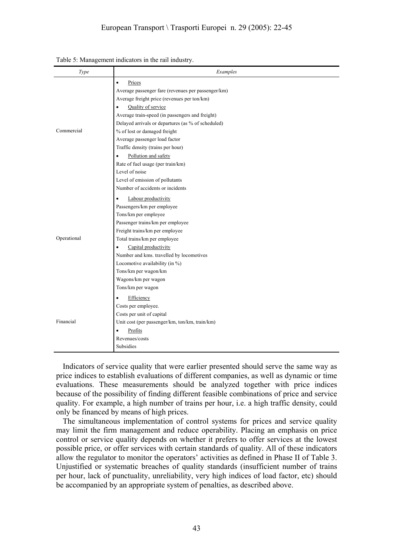## European Transport \ Trasporti Europei n. 29 (2005): 22-45

| Type        | Examples                                           |
|-------------|----------------------------------------------------|
|             | Prices<br>$\bullet$                                |
|             | Average passenger fare (revenues per passenger/km) |
|             | Average freight price (revenues per ton/km)        |
|             | Quality of service<br>$\bullet$                    |
|             | Average train-speed (in passengers and freight)    |
|             | Delayed arrivals or departures (as % of scheduled) |
| Commercial  | % of lost or damaged freight                       |
|             | Average passenger load factor                      |
|             | Traffic density (trains per hour)                  |
|             | Pollution and safety<br>$\bullet$                  |
|             | Rate of fuel usage (per train/km)                  |
|             | Level of noise                                     |
|             | Level of emission of pollutants                    |
|             | Number of accidents or incidents                   |
|             | Labour productivity<br>$\bullet$                   |
|             | Passengers/km per employee                         |
|             | Tons/km per employee                               |
|             | Passenger trains/km per employee                   |
|             | Freight trains/km per employee                     |
| Operational | Total trains/km per employee                       |
|             | Capital productivity<br>$\bullet$                  |
|             | Number and kms. travelled by locomotives           |
|             | Locomotive availability (in %)                     |
|             | Tons/km per wagon/km                               |
|             | Wagons/km per wagon                                |
|             | Tons/km per wagon                                  |
|             | Efficiency<br>$\bullet$                            |
|             | Costs per employee.                                |
|             | Costs per unit of capital                          |
| Financial   | Unit cost (per passenger/km, ton/km, train/km)     |
|             | Profits<br>$\bullet$                               |
|             | Revenues/costs                                     |
|             | Subsidies                                          |

#### Table 5: Management indicators in the rail industry.

Indicators of service quality that were earlier presented should serve the same way as price indices to establish evaluations of different companies, as well as dynamic or time evaluations. These measurements should be analyzed together with price indices because of the possibility of finding different feasible combinations of price and service quality. For example, a high number of trains per hour, i.e. a high traffic density, could only be financed by means of high prices.

The simultaneous implementation of control systems for prices and service quality may limit the firm management and reduce operability. Placing an emphasis on price control or service quality depends on whether it prefers to offer services at the lowest possible price, or offer services with certain standards of quality. All of these indicators allow the regulator to monitor the operators' activities as defined in Phase II of Table 3. Uniustified or systematic breaches of quality standards (insufficient number of trains per hour, lack of punctuality, unreliability, very high indices of load factor, etc) should be accompanied by an appropriate system of penalties, as described above.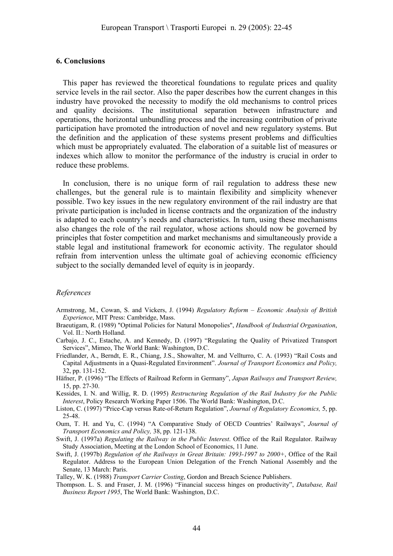#### **6. Conclusions**

This paper has reviewed the theoretical foundations to regulate prices and quality service levels in the rail sector. Also the paper describes how the current changes in this industry have provoked the necessity to modify the old mechanisms to control prices and quality decisions. The institutional separation between infrastructure and operations, the horizontal unbundling process and the increasing contribution of private participation have promoted the introduction of novel and new regulatory systems. But the definition and the application of these systems present problems and difficulties which must be appropriately evaluated. The elaboration of a suitable list of measures or indexes which allow to monitor the performance of the industry is crucial in order to reduce these problems.

In conclusion, there is no unique form of rail regulation to address these new challenges, but the general rule is to maintain flexibility and simplicity whenever possible. Two key issues in the new regulatory environment of the rail industry are that private participation is included in license contracts and the organization of the industry is adapted to each country's needs and characteristics. In turn, using these mechanisms also changes the role of the rail regulator, whose actions should now be governed by principles that foster competition and market mechanisms and simultaneously provide a stable legal and institutional framework for economic activity. The regulator should refrain from intervention unless the ultimate goal of achieving economic efficiency subject to the socially demanded level of equity is in jeopardy.

#### *References*

- Armstrong, M., Cowan, S. and Vickers, J. (1994) *Regulatory Reform Economic Analysis of British Experience*, MIT Press: Cambridge, Mass.
- Braeutigam, R. (1989) "Optimal Policies for Natural Monopolies", *Handbook of Industrial Organisation*, Vol. II.: North Holland.
- Carbajo, J. C., Estache, A. and Kennedy, D. (1997) "Regulating the Quality of Privatized Transport Services", Mimeo, The World Bank: Washington, D.C.
- Friedlander, A., Berndt, E. R., Chiang, J.S., Showalter, M. and Vellturro, C. A. (1993) "Rail Costs and Capital Adjustments in a Quasi-Regulated Environment". *Journal of Transport Economics and Policy,* 32, pp. 131-152.
- Häfner, P. (1996) "The Effects of Railroad Reform in Germany", *Japan Railways and Transport Review,* 15, pp. 27-30.
- Kessides, I. N. and Willig, R. D. (1995) *Restructuring Regulation of the Rail Industry for the Public Interest*, Policy Research Working Paper 1506. The World Bank: Washington, D.C.
- Liston, C. (1997) "Price-Cap versus Rate-of-Return Regulation", *Journal of Regulatory Economics,* 5, pp. 25-48.
- Oum, T. H. and Yu, C. (1994) "A Comparative Study of OECD Countries' Railways", *Journal of Transport Economics and Policy,* 38, pp. 121-138.
- Swift, J. (1997a) *Regulating the Railway in the Public Interest*. Office of the Rail Regulator. Railway Study Association, Meeting at the London School of Economics, 11 June.
- Swift, J. (1997b) *Regulation of the Railways in Great Britain: 1993-1997 to 2000+*, Office of the Rail Regulator. Address to the European Union Delegation of the French National Assembly and the Senate, 13 March: Paris.

Talley, W. K. (1988) *Transport Carrier Costing*, Gordon and Breach Science Publishers.

Thompson. L. S. and Fraser, J. M. (1996) "Financial success hinges on productivity", *Database, Rail Business Report 1995*, The World Bank: Washington, D.C.